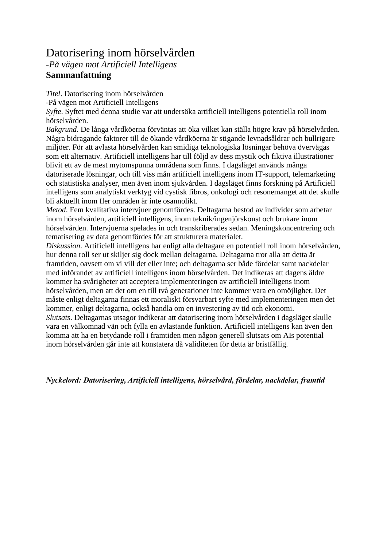## Datorisering inom hörselvården

*-På vägen mot Artificiell Intelligens* **Sammanfattning**

*Titel*. Datorisering inom hörselvården

-På vägen mot Artificiell Intelligens

*Syfte*. Syftet med denna studie var att undersöka artificiell intelligens potentiella roll inom hörselvården.

*Bakgrund*. De långa vårdköerna förväntas att öka vilket kan ställa högre krav på hörselvården. Några bidragande faktorer till de ökande vårdköerna är stigande levnadsåldrar och bullrigare miljöer. För att avlasta hörselvården kan smidiga teknologiska lösningar behöva övervägas som ett alternativ. Artificiell intelligens har till följd av dess mystik och fiktiva illustrationer blivit ett av de mest mytomspunna områdena som finns. I dagsläget används många datoriserade lösningar, och till viss mån artificiell intelligens inom IT-support, telemarketing och statistiska analyser, men även inom sjukvården. I dagsläget finns forskning på Artificiell intelligens som analytiskt verktyg vid cystisk fibros, onkologi och resonemanget att det skulle bli aktuellt inom fler områden är inte osannolikt.

*Metod*. Fem kvalitativa intervjuer genomfördes. Deltagarna bestod av individer som arbetar inom hörselvården, artificiell intelligens, inom teknik/ingenjörskonst och brukare inom hörselvården. Intervjuerna spelades in och transkriberades sedan. Meningskoncentrering och tematisering av data genomfördes för att strukturera materialet.

*Diskussion*. Artificiell intelligens har enligt alla deltagare en potentiell roll inom hörselvården, hur denna roll ser ut skiljer sig dock mellan deltagarna. Deltagarna tror alla att detta är framtiden, oavsett om vi vill det eller inte; och deltagarna ser både fördelar samt nackdelar med införandet av artificiell intelligens inom hörselvården. Det indikeras att dagens äldre kommer ha svårigheter att acceptera implementeringen av artificiell intelligens inom hörselvården, men att det om en till två generationer inte kommer vara en omöjlighet. Det måste enligt deltagarna finnas ett moraliskt försvarbart syfte med implementeringen men det kommer, enligt deltagarna, också handla om en investering av tid och ekonomi.

*Slutsats*. Deltagarnas utsagor indikerar att datorisering inom hörselvården i dagsläget skulle vara en välkomnad vän och fylla en avlastande funktion. Artificiell intelligens kan även den komma att ha en betydande roll i framtiden men någon generell slutsats om AIs potential inom hörselvården går inte att konstatera då validiteten för detta är bristfällig.

*Nyckelord: Datorisering, Artificiell intelligens, hörselvård, fördelar, nackdelar, framtid*